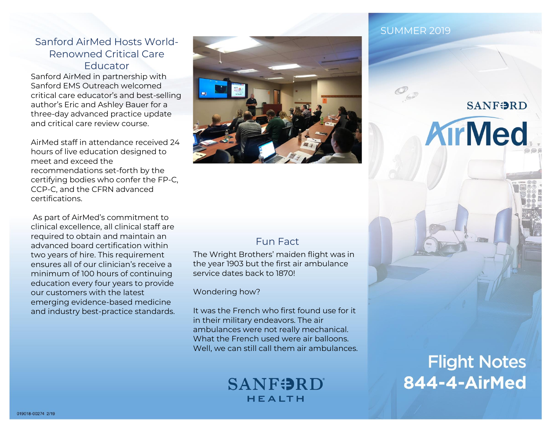### Sanford AirMed Hosts World-Renowned Critical Care Educator

Sanford AirMed in partnership with Sanford EMS Outreach welcomed critical care educator's and best-selling author's Eric and Ashley Bauer for a three-day advanced practice update and critical care review course.

AirMed staff in attendance received 24 hours of live education designed to meet and exceed the recommendations set-forth by the certifying bodies who confer the FP-C, CCP-C, and the CFRN advanced certifications.

As part of AirMed's commitment to clinical excellence, all clinical staff are required to obtain and maintain an advanced board certification within two years of hire. This requirement ensures all of our clinician's receive a minimum of 100 hours of continuing education every four years to provide our customers with the latest emerging evidence-based medicine and industry best-practice standards.



## Fun Fact

The Wright Brothers' maiden flight was in the year 1903 but the first air ambulance service dates back to 1870!

Wondering how?

It was the French who first found use for it in their military endeavors. The air ambulances were not really mechanical. What the French used were air balloons. Well, we can still call them air ambulances.

# **SANFORD** HEALTH

### SUMMER 2019

**Flight Notes** 844-4-AirMed

**SANFORD** 

**AirMed**